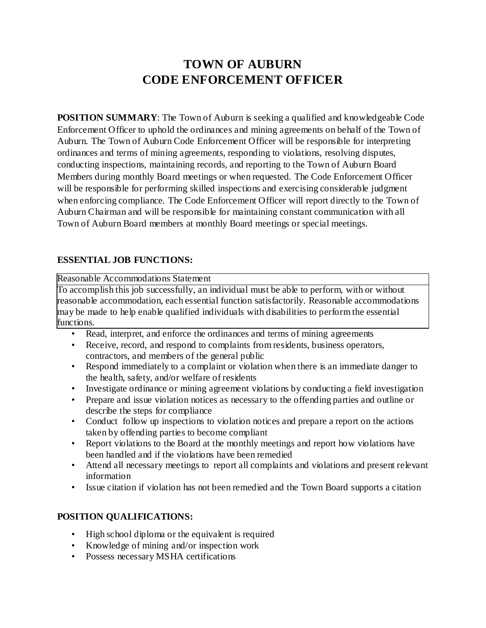# **TOWN OF AUBURN CODE ENFORCEMENT OFFICER**

**POSITION SUMMARY:** The Town of Auburn is seeking a qualified and knowledgeable Code Enforcement Officer to uphold the ordinances and mining agreements on behalf of the Town of Auburn. The Town of Auburn Code Enforcement Officer will be responsible for interpreting ordinances and terms of mining agreements, responding to violations, resolving disputes, conducting inspections, maintaining records, and reporting to the Town of Auburn Board Members during monthly Board meetings or when requested. The Code Enforcement Officer will be responsible for performing skilled inspections and exercising considerable judgment when enforcing compliance. The Code Enforcement Officer will report directly to the Town of Auburn Chairman and will be responsible for maintaining constant communication with all Town of Auburn Board members at monthly Board meetings or special meetings.

## **ESSENTIAL JOB FUNCTIONS:**

Reasonable Accommodations Statement

To accomplish this job successfully, an individual must be able to perform, with or without reasonable accommodation, each essential function satisfactorily. Reasonable accommodations may be made to help enable qualified individuals with disabilities to perform the essential functions.

- Read, interpret, and enforce the ordinances and terms of mining agreements
- Receive, record, and respond to complaints from residents, business operators, contractors, and members of the general public
- Respond immediately to a complaint or violation when there is an immediate danger to the health, safety, and/or welfare of residents
- Investigate ordinance or mining agreement violations by conducting a field investigation
- Prepare and issue violation notices as necessary to the offending parties and outline or describe the steps for compliance
- Conduct follow up inspections to violation notices and prepare a report on the actions taken by offending parties to become compliant
- Report violations to the Board at the monthly meetings and report how violations have been handled and if the violations have been remedied
- Attend all necessary meetings to report all complaints and violations and present relevant information
- Issue citation if violation has not been remedied and the Town Board supports a citation

## **POSITION QUALIFICATIONS:**

- High school diploma or the equivalent is required
- Knowledge of mining and/or inspection work
- Possess necessary MSHA certifications